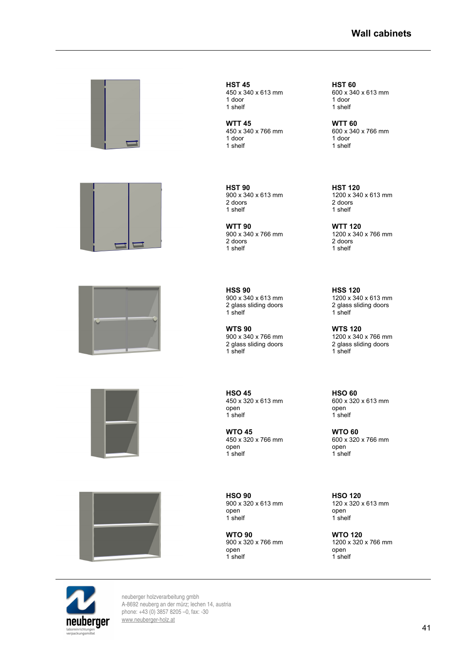## **Wall cabinets**











**HST 45 HST 60** 1 shelf 1 shelf

**WTT 45 WTT 60** 1 door 1 door 1 door 1 door 1 shelf

**HST 90**<br>900 x 340 x 613 mm<br>1200 x 340 2 doors 2 doors

**WTT 90**<br>900 x 340 x 766 mm<br>1200 x 340 1 shelf

 $900 \times 340 \times 613$  mm<br>2 glass sliding doors

**WTS 90**<br>900 x 340 x 766 mm<br>1200 x 340 2 glass sliding doors 2 glass sliding doors 1 shelf 1 shelf

**HSO 45**<br>450 x 320 x 613 mm<br>600 x 320 open open open open open the state of the state of the state of the state of the state of the state of the state of the state of the state of the state of the state of the state of the state of the state of the state of th 1<sup>shelf</sup>

**WTO 45 WTO 60** open<br>1 shelf

**HSO 90**<br>  $900 \times 320 \times 613$  mm<br>  $120 \times 320 \times 613$  mm<br>  $120 \times 320 \times 613$  mm 900 x 320 x 613 mm 120 x 320 x 613 mm open<br>1 shelf

**WTO 90 WTO 120** open open

450 x 340 x 613 mm 600 x 340 x 613 mm 1 door 1 door

450 x 340 x 766 mm 600 x 340 x 766 mm 1 shelf 1 shelf

900 x 340 x 613 mm 1200 x 340 x 613 mm 1 shelf 1 shelf

900 x 340 x 766 mm<br>2 doors<br>2 doors<br>2 doors 2 doors<br>1 shelf

**HSS 90 HSS 120**<br>  $900 \times 340 \times 613$  mm<br>  $1200 \times 340 \times 613$  mm 2 glass sliding doors 2 glass sliding doors<br>1 shelf 2 3 and 1 shelf 1 shelf 1 shelf

 $1200 \times 340 \times 766$  mm<br>2 glass sliding doors

450 x 320 x 613 mm 600 x 320 x 613 mm

450 x 320 x 766 mm<br>
900 x 320 x 766 mm<br>
900 open 1 shelf 1 shelf

1<sup>shelf</sup>

900 x 320 x 766 mm 1200 x 320 x 766 mm 1<sup>shelf</sup>

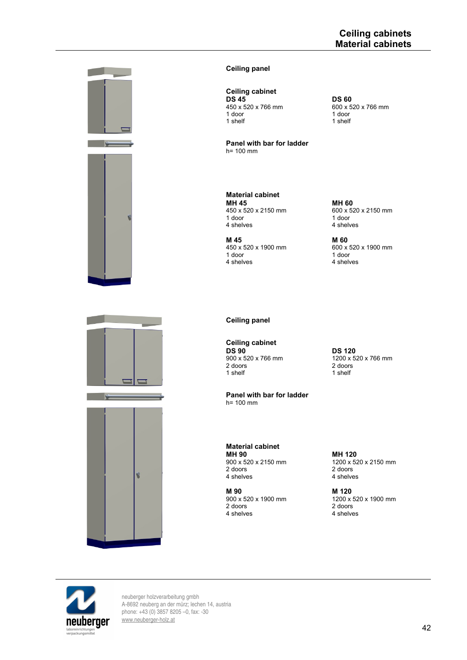

## **Ceiling panel**

# **Ceiling cabinet**

**DS 45 DS 60**<br>450 x 520 x 766 mm 600 x 5 1 door 1 door 1 door 1 door 1 shelf

**Panel with bar for ladder** h= 100 mm

**Material cabinet MH 45 MH 60**<br>450 x 520 x 2150 mm 600 x 52 1 door<br>4 shelves 1 door<br>4 shelves

**M 45 M 60**<br>450 x 520 x 1900 mm 600 x 1 door<br>4 shelves 1 door<br>4 shelves

 $450 \times 520 \times 2150$  mm<br>1 door  $1000$  and  $1000$   $1000$   $1000$   $1000$ 4 shelves

450 x 520 x 766 mm 600 x 520 x 766 mm

1 shelf 1 shelf

450 x 520 x 1900 mm 600 x 520 x 1900 mm 4 shelves







### **Ceiling panel**

**Ceiling cabinet DS 90 DS 120**<br>900 x 520 x 766 mm  $1200 \times 52$ 1 shelf

**Panel with bar for ladder** h= 100 mm

**Material cabinet MH 90 MH 120**<br>900 x 520 x 2150 mm 1200 x 52 2 doors<br>
2 doors<br>
2 doors<br>
2 doors<br>
2 doors<br>
2 doors<br>
2 shelves

**M 90 M 120**<br>900 x 520 x 1900 mm 1200 x 2 doors 2 doors 2 doors 2 doors 2 doors 2 doors 2 doors 2 doors 2 doors 2 doors 2 doors 2 doors 2 doors 2 doors 2 doors 2 doors 2 doors 2 doors 2 doors 2 doors 2 doors 2 doors 2 doors 2 doors 2 doors 2 doors 2 doors 2 door

900 x 520 x 766 mm 1200 x 520 x 766 mm 2 doors<br>1 shelf

900 x 520 x 2150 mm<br>
2 doors<br>
2 doors<br>
2 doors 4 shelves

900 x 520 x 1900 mm<br>
2 doors<br>
2 doors<br>
2 doors 4 shelves

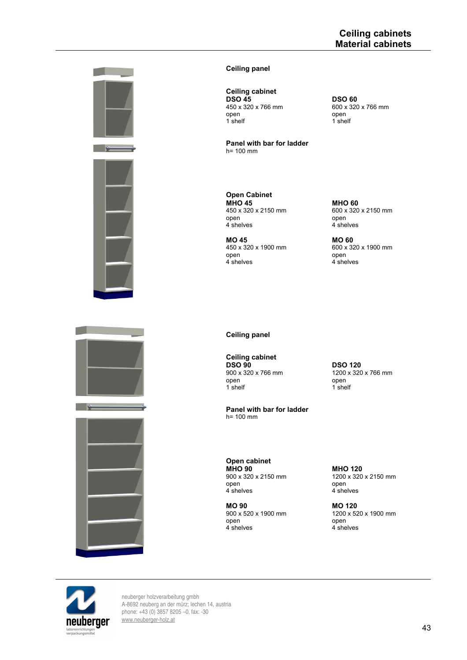



## **Ceiling panel**

**Ceiling cabinet DSO 45 DSO 60**<br>450 x 320 x 766 mm 600 x 320 open open

**Panel with bar for ladder** h= 100 mm

**Open Cabinet MHO 45**<br>450 x 320 x 2150 mm<br>600 x 320 open<br>4 shelves

450 x 320 x 1900 mm 600 x<br>open open open<br>4 shelves

600 x 320 x 2150 mm<br>open 4 shelves 4 shelves

450 x 320 x 766 mm 600 x 320 x 766 mm

 $1$  shelf

**MO 45 MO 60**<br>450 x 320 x 1900 mm 600 x 320 x 1900 mm 4<sup>shelves</sup>

**Ceiling panel**

**Ceiling cabinet DSO 90 DSO 120**<br>900 x 320 x 766 mm 1200 x 320 open open open open the set of the set of the set of the set of the set of the set of the set of the set of the<br>The set of the set of the set of the set of the set of the set of the set of the set of the set of the set of

**Panel with bar for ladder**  $h = 100$  mm

900 x 320 x 766 mm 1200 x 320 x 766 mm 1 shelf

**Open cabinet MHO 90**<br>900 x 320 x 2150 mm <br>1200 x 320 open open open open open a shelves and the set of the set of the set of the set of the set of the set of the s<br>A shelves and the set of the set of the set of the set of the set of the set of the set of the set of the set o

**MO 90 MO 120**<br>900 x 520 x 1900 mm 1200 x 52 open open open open 4 shelves 4 shelves and 4 shelves and 4 shelves and 4 shelves and 4 shelves and 4 shelves and 4 shelves and 4 shelves and 4 shelves and 4 shelves and 4 shelves and 4 shelves and 4 shelves and 4 shelves

900 x 320 x 2150 mm<br>
open 1200 x 320 x 2150 mm<br>
open 1200 x 320 x 2150 mm 4<sup>shelves</sup>

> 1200 x 520 x 1900 mm 4<sup>shelves</sup>